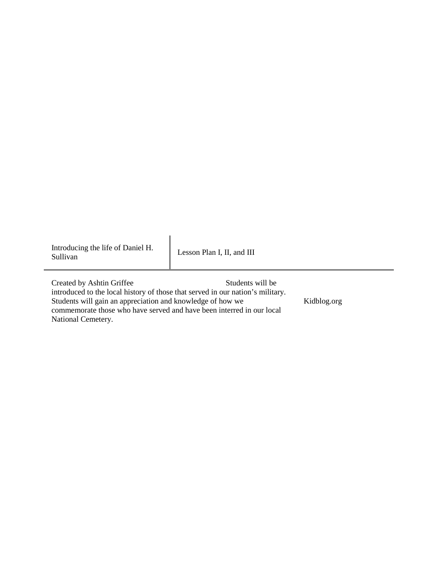Introducing the life of Daniel H. Lesson Plan I, II, and III Sullivan

 commemorate those who have served and have been interred in our local National Cemetery. Created by Ashtin Griffee Students will be introduced to the local history of those that served in our nation's military. Students will gain an appreciation and knowledge of how we Kidblog.org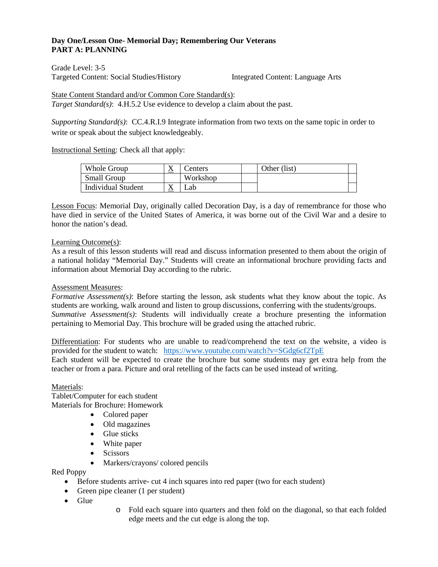## **Day One/Lesson One- Memorial Day; Remembering Our Veterans PART A: PLANNING**

Targeted Content: Social Studies/History **Integrated Content: Language Arts** Grade Level: 3-5

#### State Content Standard and/or Common Core Standard(s):

*Target Standard(s)*: 4.H.5.2 Use evidence to develop a claim about the past.

*Supporting Standard(s)*: CC.4.R.I.9 Integrate information from two texts on the same topic in order to write or speak about the subject knowledgeably.

Instructional Setting: Check all that apply:

| Whole Group        | ∡         | enters   | Other (list) |  |
|--------------------|-----------|----------|--------------|--|
| <b>Small Group</b> |           | Workshop |              |  |
| Individual Student | $\lambda$ | _ab      |              |  |

Lesson Focus: Memorial Day, originally called Decoration Day, is a day of remembrance for those who have died in service of the United States of America, it was borne out of the Civil War and a desire to honor the nation's dead.

## Learning Outcome(s):

 As a result of this lesson students will read and discuss information presented to them about the origin of a national holiday "Memorial Day." Students will create an informational brochure providing facts and information about Memorial Day according to the rubric.

#### Assessment Measures:

*Formative Assessment(s)*: Before starting the lesson, ask students what they know about the topic. As students are working, walk around and listen to group discussions, conferring with the students/groups. *Summative Assessment(s)*: Students will individually create a brochure presenting the information pertaining to Memorial Day. This brochure will be graded using the attached rubric.

provided for the student to watch: https://www.youtube.com/watch?v=SGdg6cf2TpE Differentiation: For students who are unable to read/comprehend the text on the website, a video is

 teacher or from a para. Picture and oral retelling of the facts can be used instead of writing. Each student will be expected to create the brochure but some students may get extra help from the

#### Materials:

Tablet/Computer for each student Materials for Brochure: Homework

- Colored paper
- Old magazines
- Glue sticks
- White paper
- Scissors
- Markers/crayons/ colored pencils

Red Poppy

- Before students arrive- cut 4 inch squares into red paper (two for each student)
- Green pipe cleaner (1 per student)
- Glue
- o Fold each square into quarters and then fold on the diagonal, so that each folded edge meets and the cut edge is along the top.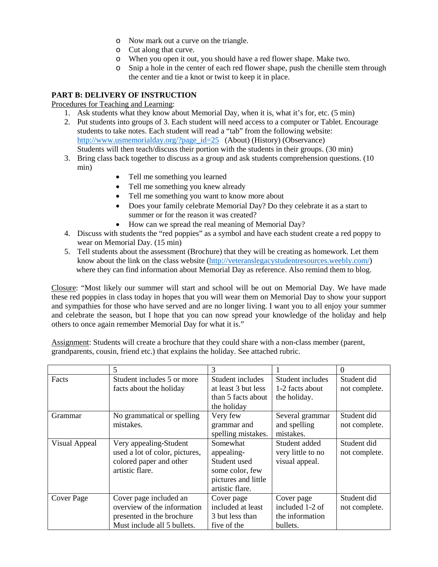- o Now mark out a curve on the triangle.
- o Cut along that curve.
- o When you open it out, you should have a red flower shape. Make two.
- o Snip a hole in the center of each red flower shape, push the chenille stem through the center and tie a knot or twist to keep it in place.

## **PART B: DELIVERY OF INSTRUCTION**

## Procedures for Teaching and Learning:

- 1. Ask students what they know about Memorial Day, when it is, what it's for, etc. (5 min)
- 2. Put students into groups of 3. Each student will need access to a computer or Tablet. Encourage Students will then teach/discuss their portion with the students in their groups. (30 min) students to take notes. Each student will read a "tab" from the following website: [http://www.usmemorialday.org/?page\\_id=25](http://www.usmemorialday.org/?page_id=25) (About) (History) (Observance)
- 3. Bring class back together to discuss as a group and ask students comprehension questions. (10 min)
	- Tell me something you learned
	- Tell me something you knew already
	- Tell me something you want to know more about
	- • Does your family celebrate Memorial Day? Do they celebrate it as a start to summer or for the reason it was created?
	- How can we spread the real meaning of Memorial Day?
- 4. Discuss with students the "red poppies" as a symbol and have each student create a red poppy to wear on Memorial Day. (15 min)
- wear on Memorial Day. (15 min)<br>5. Tell students about the assessment (Brochure) that they will be creating as homework. Let them know about the link on the class website [\(http://veteranslegacystudentresources.weebly.com/\)](http://veteranslegacystudentresources.weebly.com/) where they can find information about Memorial Day as reference. Also remind them to blog.

 Closure: "Most likely our summer will start and school will be out on Memorial Day. We have made these red poppies in class today in hopes that you will wear them on Memorial Day to show your support and celebrate the season, but I hope that you can now spread your knowledge of the holiday and help others to once again remember Memorial Day for what it is." and sympathies for those who have served and are no longer living. I want you to all enjoy your summer

Assignment: Students will create a brochure that they could share with a non-class member (parent, grandparents, cousin, friend etc.) that explains the holiday. See attached rubric.

|                      | 5                              | 3                   |                   | $\Omega$      |
|----------------------|--------------------------------|---------------------|-------------------|---------------|
| Facts                | Student includes 5 or more     | Student includes    | Student includes  | Student did   |
|                      | facts about the holiday        | at least 3 but less | 1-2 facts about   | not complete. |
|                      |                                | than 5 facts about  | the holiday.      |               |
|                      |                                | the holiday         |                   |               |
| Grammar              | No grammatical or spelling     | Very few            | Several grammar   | Student did   |
|                      | mistakes.                      | grammar and         | and spelling      | not complete. |
|                      |                                | spelling mistakes.  | mistakes.         |               |
| <b>Visual Appeal</b> | Very appealing-Student         | Somewhat            | Student added     | Student did   |
|                      | used a lot of color, pictures, | appealing-          | very little to no | not complete. |
|                      | colored paper and other        | Student used        | visual appeal.    |               |
|                      | artistic flare.                | some color, few     |                   |               |
|                      |                                | pictures and little |                   |               |
|                      |                                | artistic flare.     |                   |               |
| Cover Page           | Cover page included an         | Cover page          | Cover page        | Student did   |
|                      | overview of the information    | included at least   | included 1-2 of   | not complete. |
|                      | presented in the brochure      | 3 but less than     | the information   |               |
|                      | Must include all 5 bullets.    | five of the         | bullets.          |               |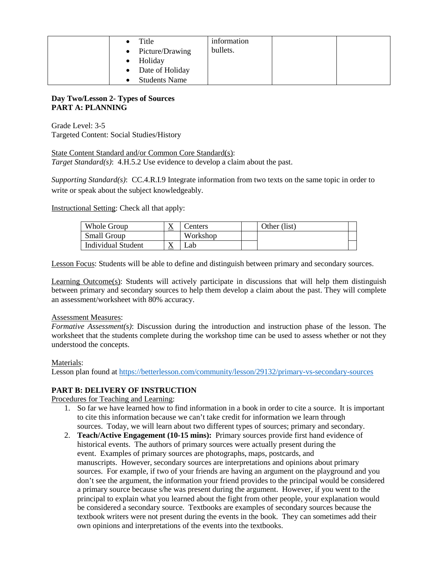| Title<br>• Picture/Drawing<br>Holiday<br>$\bullet$ | information<br>bullets. |  |
|----------------------------------------------------|-------------------------|--|
| • Date of Holiday                                  |                         |  |
| <b>Students Name</b>                               |                         |  |

## **Day Two/Lesson 2- Types of Sources PART A: PLANNING**

 Targeted Content: Social Studies/History Grade Level: 3-5

 *Target Standard(s)*: 4.H.5.2 Use evidence to develop a claim about the past. State Content Standard and/or Common Core Standard(s):

*Supporting Standard(s)*: CC.4.R.I.9 Integrate information from two texts on the same topic in order to write or speak about the subject knowledgeably.

Instructional Setting: Check all that apply:

| Whole Group               | $\lambda$ | lenters  | Other (list) |  |
|---------------------------|-----------|----------|--------------|--|
| <b>Small Group</b>        |           | Workshon |              |  |
| <b>Individual Student</b> |           | م2db     |              |  |

Lesson Focus: Students will be able to define and distinguish between primary and secondary sources.

Learning Outcome(s): Students will actively participate in discussions that will help them distinguish between primary and secondary sources to help them develop a claim about the past. They will complete an assessment/worksheet with 80% accuracy.

## Assessment Measures:

 worksheet that the students complete during the workshop time can be used to assess whether or not they *Formative Assessment(s)*: Discussion during the introduction and instruction phase of the lesson. The understood the concepts.

## Materials:

Lesson plan found at https://betterlesson.com/community/lesson/29132/primary-vs-secondary-sources

# **PART B: DELIVERY OF INSTRUCTION**

# Procedures for Teaching and Learning:

- Procedures for Teaching and Learning:<br>1. So far we have learned how to find information in a book in order to cite a source. It is important to cite this information because we can't take credit for information we learn through sources. Today, we will learn about two different types of sources; primary and secondary.
	- 2. **Teach/Active Engagement (10-15 mins):** Primary sources provide first hand evidence of historical events. The authors of primary sources were actually present during the event. Examples of primary sources are photographs, maps, postcards, and don't see the argument, the information your friend provides to the principal would be considered a primary source because s/he was present during the argument. However, if you went to the principal to explain what you learned about the fight from other people, your explanation would be considered a secondary source. Textbooks are examples of secondary sources because the manuscripts. However, secondary sources are interpretations and opinions about primary sources. For example, if two of your friends are having an argument on the playground and you textbook writers were not present during the events in the book. They can sometimes add their own opinions and interpretations of the events into the textbooks.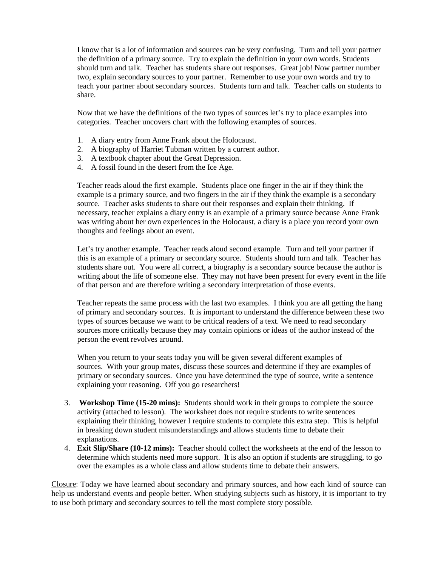I know that is a lot of information and sources can be very confusing. Turn and tell your partner the definition of a primary source. Try to explain the definition in your own words. Students should turn and talk. Teacher has students share out responses. Great job! Now partner number two, explain secondary sources to your partner. Remember to use your own words and try to teach your partner about secondary sources. Students turn and talk. Teacher calls on students to share.

 categories. Teacher uncovers chart with the following examples of sources. Now that we have the definitions of the two types of sources let's try to place examples into

- 1. A diary entry from Anne Frank about the Holocaust.
- 2. A biography of Harriet Tubman written by a current author.
- 3. A textbook chapter about the Great Depression.
- 4. A fossil found in the desert from the Ice Age.

 Teacher reads aloud the first example. Students place one finger in the air if they think the example is a primary source, and two fingers in the air if they think the example is a secondary source. Teacher asks students to share out their responses and explain their thinking. If necessary, teacher explains a diary entry is an example of a primary source because Anne Frank was writing about her own experiences in the Holocaust, a diary is a place you record your own thoughts and feelings about an event.

 Let's try another example. Teacher reads aloud second example. Turn and tell your partner if this is an example of a primary or secondary source. Students should turn and talk. Teacher has students share out. You were all correct, a biography is a secondary source because the author is writing about the life of someone else. They may not have been present for every event in the life of that person and are therefore writing a secondary interpretation of those events.

 of that person and are therefore writing a secondary interpretation of those events. Teacher repeats the same process with the last two examples. I think you are all getting the hang of primary and secondary sources. It is important to understand the difference between these two types of sources because we want to be critical readers of a text. We need to read secondary sources more critically because they may contain opinions or ideas of the author instead of the person the event revolves around.

 person the event revolves around. When you return to your seats today you will be given several different examples of sources. With your group mates, discuss these sources and determine if they are examples of primary or secondary sources. Once you have determined the type of source, write a sentence explaining your reasoning. Off you go researchers!

- activity (attached to lesson). The worksheet does not require students to write sentences explaining their thinking, however I require students to complete this extra step. This is helpful 3. **Workshop Time (15-20 mins):** Students should work in their groups to complete the source in breaking down student misunderstandings and allows students time to debate their explanations.
- determine which students need more support. It is also an option if students are struggling, to go 4. **Exit Slip/Share (10-12 mins):** Teacher should collect the worksheets at the end of the lesson to over the examples as a whole class and allow students time to debate their answers.

 help us understand events and people better. When studying subjects such as history, it is important to try Closure: Today we have learned about secondary and primary sources, and how each kind of source can to use both primary and secondary sources to tell the most complete story possible.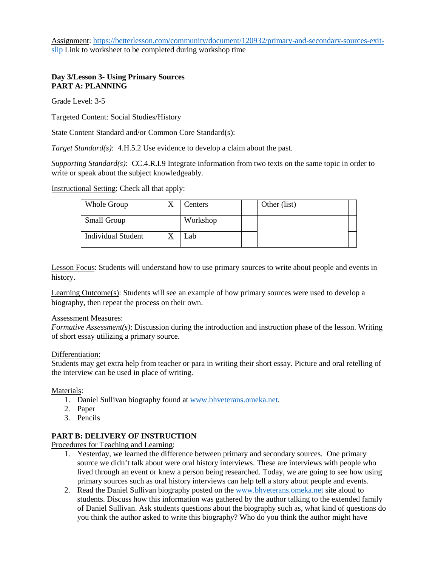Assignment: [https://betterlesson.com/community/document/120932/primary-and-secondary-sources-exit](https://betterlesson.com/community/document/120932/primary-and-secondary-sources-exit-slip)[slip](https://betterlesson.com/community/document/120932/primary-and-secondary-sources-exit-slip) Link to worksheet to be completed during workshop time

# **Day 3/Lesson 3- Using Primary Sources PART A: PLANNING**

Grade Level: 3-5

Targeted Content: Social Studies/History

State Content Standard and/or Common Core Standard(s):

*Target Standard(s)*: 4.H.5.2 Use evidence to develop a claim about the past.

*Supporting Standard(s)*: CC.4.R.I.9 Integrate information from two texts on the same topic in order to write or speak about the subject knowledgeably.

Instructional Setting: Check all that apply:

| Whole Group        | $\Delta$ | Centers  | Other (list) |  |
|--------------------|----------|----------|--------------|--|
| <b>Small Group</b> |          | Workshop |              |  |
| Individual Student | $\Delta$ | Lab      |              |  |

Lesson Focus: Students will understand how to use primary sources to write about people and events in history.

Learning Outcome(s): Students will see an example of how primary sources were used to develop a biography, then repeat the process on their own.

#### Assessment Measures:

*Formative Assessment(s)*: Discussion during the introduction and instruction phase of the lesson. Writing of short essay utilizing a primary source.

#### Differentiation:

 Students may get extra help from teacher or para in writing their short essay. Picture and oral retelling of the interview can be used in place of writing.

#### Materials:

- 1. Daniel Sullivan biography found at [www.bhveterans.omeka.net.](http://www.bhveterans.omeka.net/)
- 2. Paper
- 3. Pencils

## **PART B: DELIVERY OF INSTRUCTION**

Procedures for Teaching and Learning:

- 1. Yesterday, we learned the difference between primary and secondary sources. One primary source we didn't talk about were oral history interviews. These are interviews with people who primary sources such as oral history interviews can help tell a story about people and events. lived through an event or knew a person being researched. Today, we are going to see how using
- of Daniel Sullivan. Ask students questions about the biography such as, what kind of questions do 2. Read the Daniel Sullivan biography posted on the [www.bhveterans.omeka.net s](http://www.bhveterans.omeka.net/)ite aloud to students. Discuss how this information was gathered by the author talking to the extended family you think the author asked to write this biography? Who do you think the author might have